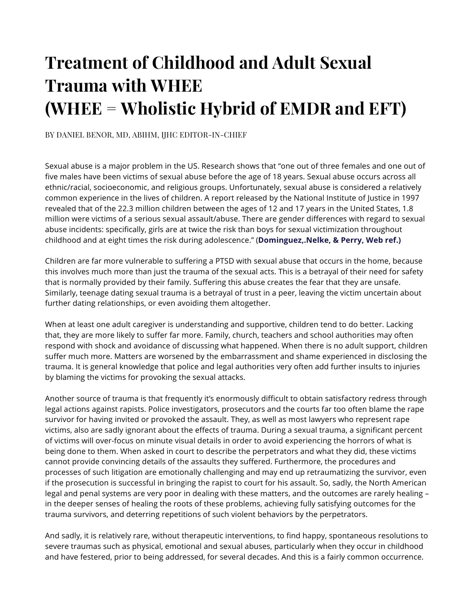# **Treatment of Childhood and Adult Sexual Trauma with WHEE (WHEE = Wholistic Hybrid of EMDR and EFT)**

BY DANIEL BENOR, MD, ABIHM, IJHC EDITOR-IN-CHIEF

Sexual abuse is a major problem in the US. Research shows that "one out of three females and one out of five males have been victims of sexual abuse before the age of 18 years. Sexual abuse occurs across all ethnic/racial, socioeconomic, and religious groups. Unfortunately, sexual abuse is considered a relatively common experience in the lives of children. A report released by the National Institute of Justice in 1997 revealed that of the 22.3 million children between the ages of 12 and 17 years in the United States, 1.8 million were victims of a serious sexual assault/abuse. There are gender differences with regard to sexual abuse incidents: specifically, girls are at twice the risk than boys for sexual victimization throughout childhood and at eight times the risk during adolescence." (**Dominguez,.Nelke, & Perry, Web ref.)**

Children are far more vulnerable to suffering a PTSD with sexual abuse that occurs in the home, because this involves much more than just the trauma of the sexual acts. This is a betrayal of their need for safety that is normally provided by their family. Suffering this abuse creates the fear that they are unsafe. Similarly, teenage dating sexual trauma is a betrayal of trust in a peer, leaving the victim uncertain about further dating relationships, or even avoiding them altogether.

When at least one adult caregiver is understanding and supportive, children tend to do better. Lacking that, they are more likely to suffer far more. Family, church, teachers and school authorities may often respond with shock and avoidance of discussing what happened. When there is no adult support, children suffer much more. Matters are worsened by the embarrassment and shame experienced in disclosing the trauma. It is general knowledge that police and legal authorities very often add further insults to injuries by blaming the victims for provoking the sexual attacks.

Another source of trauma is that frequently it's enormously difficult to obtain satisfactory redress through legal actions against rapists. Police investigators, prosecutors and the courts far too often blame the rape survivor for having invited or provoked the assault. They, as well as most lawyers who represent rape victims, also are sadly ignorant about the effects of trauma. During a sexual trauma, a significant percent of victims will over-focus on minute visual details in order to avoid experiencing the horrors of what is being done to them. When asked in court to describe the perpetrators and what they did, these victims cannot provide convincing details of the assaults they suffered. Furthermore, the procedures and processes of such litigation are emotionally challenging and may end up retraumatizing the survivor, even if the prosecution is successful in bringing the rapist to court for his assault. So, sadly, the North American legal and penal systems are very poor in dealing with these matters, and the outcomes are rarely healing – in the deeper senses of healing the roots of these problems, achieving fully satisfying outcomes for the trauma survivors, and deterring repetitions of such violent behaviors by the perpetrators.

And sadly, it is relatively rare, without therapeutic interventions, to find happy, spontaneous resolutions to severe traumas such as physical, emotional and sexual abuses, particularly when they occur in childhood and have festered, prior to being addressed, for several decades. And this is a fairly common occurrence.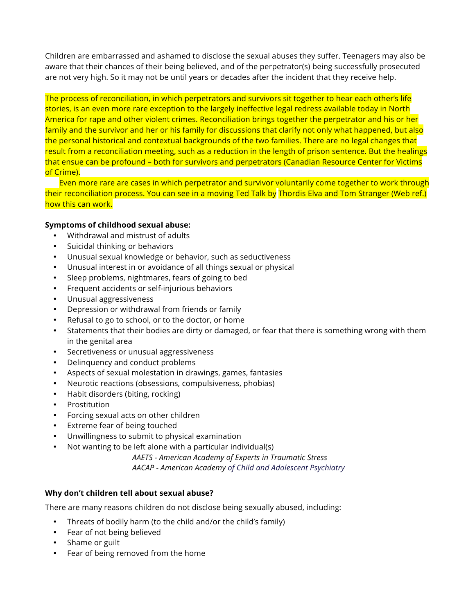Children are embarrassed and ashamed to disclose the sexual abuses they suffer. Teenagers may also be aware that their chances of their being believed, and of the perpetrator(s) being successfully prosecuted are not very high. So it may not be until years or decades after the incident that they receive help.

The process of reconciliation, in which perpetrators and survivors sit together to hear each other's life stories, is an even more rare exception to the largely ineffective legal redress available today in North America for rape and other violent crimes. Reconciliation brings together the perpetrator and his or her family and the survivor and her or his family for discussions that clarify not only what happened, but also the personal historical and contextual backgrounds of the two families. There are no legal changes that result from a reconciliation meeting, such as a reduction in the length of prison sentence. But the healings that ensue can be profound – both for survivors and perpetrators (Canadian Resource Center for Victims of Crime).

Even more rare are cases in which perpetrator and survivor voluntarily come together to work through their reconciliation process. You can see in a moving Ted Talk by Thordis Elva and Tom Stranger (Web ref.) how this can work.

### **Symptoms of childhood sexual abuse:**

- Withdrawal and mistrust of adults
- Suicidal thinking or behaviors
- Unusual sexual knowledge or behavior, such as seductiveness
- Unusual interest in or avoidance of all things sexual or physical
- Sleep problems, nightmares, fears of going to bed
- Frequent accidents or self-injurious behaviors
- Unusual aggressiveness
- Depression or withdrawal from friends or family
- Refusal to go to school, or to the doctor, or home
- Statements that their bodies are dirty or damaged, or fear that there is something wrong with them in the genital area
- Secretiveness or unusual aggressiveness
- Delinquency and conduct problems
- Aspects of sexual molestation in drawings, games, fantasies
- Neurotic reactions (obsessions, compulsiveness, phobias)
- Habit disorders (biting, rocking)
- **Prostitution**
- Forcing sexual acts on other children
- Extreme fear of being touched
- Unwillingness to submit to physical examination
- Not wanting to be left alone with a particular individual(s)

*AAETS - American Academy of Experts in Traumatic Stress*

*AACAP - American Academy of Child and Adolescent Psychiatry*

### **Why don't children tell about sexual abuse?**

There are many reasons children do not disclose being sexually abused, including:

- Threats of bodily harm (to the child and/or the child's family)
- Fear of not being believed
- Shame or guilt
- Fear of being removed from the home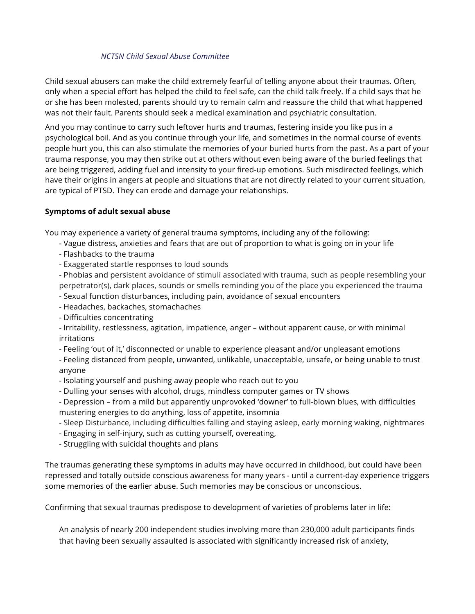## *NCTSN Child Sexual Abuse Committee*

Child sexual abusers can make the child extremely fearful of telling anyone about their traumas. Often, only when a special effort has helped the child to feel safe, can the child talk freely. If a child says that he or she has been molested, parents should try to remain calm and reassure the child that what happened was not their fault. Parents should seek a medical examination and psychiatric consultation.

And you may continue to carry such leftover hurts and traumas, festering inside you like pus in a psychological boil. And as you continue through your life, and sometimes in the normal course of events people hurt you, this can also stimulate the memories of your buried hurts from the past. As a part of your trauma response, you may then strike out at others without even being aware of the buried feelings that are being triggered, adding fuel and intensity to your fired-up emotions. Such misdirected feelings, which have their origins in angers at people and situations that are not directly related to your current situation, are typical of PTSD. They can erode and damage your relationships.

## **Symptoms of adult sexual abuse**

You may experience a variety of general trauma symptoms, including any of the following:

- Vague distress, anxieties and fears that are out of proportion to what is going on in your life
- Flashbacks to the trauma
- Exaggerated startle responses to loud sounds

- Phobias and persistent avoidance of stimuli associated with trauma, such as people resembling your perpetrator(s), dark places, sounds or smells reminding you of the place you experienced the trauma

- Sexual function disturbances, including pain, avoidance of sexual encounters
- Headaches, backaches, stomachaches
- Difficulties concentrating

- Irritability, restlessness, agitation, impatience, anger – without apparent cause, or with minimal irritations

- Feeling 'out of it,' disconnected or unable to experience pleasant and/or unpleasant emotions

- Feeling distanced from people, unwanted, unlikable, unacceptable, unsafe, or being unable to trust anyone

- Isolating yourself and pushing away people who reach out to you
- Dulling your senses with alcohol, drugs, mindless computer games or TV shows

- Depression – from a mild but apparently unprovoked 'downer' to full-blown blues, with difficulties mustering energies to do anything, loss of appetite, insomnia

- Sleep Disturbance, including difficulties falling and staying asleep, early morning waking, nightmares
- Engaging in self-injury, such as cutting yourself, overeating,
- Struggling with suicidal thoughts and plans

The traumas generating these symptoms in adults may have occurred in childhood, but could have been repressed and totally outside conscious awareness for many years - until a current-day experience triggers some memories of the earlier abuse. Such memories may be conscious or unconscious.

Confirming that sexual traumas predispose to development of varieties of problems later in life:

An analysis of nearly 200 independent studies involving more than 230,000 adult participants finds that having been sexually assaulted is associated with significantly increased risk of anxiety,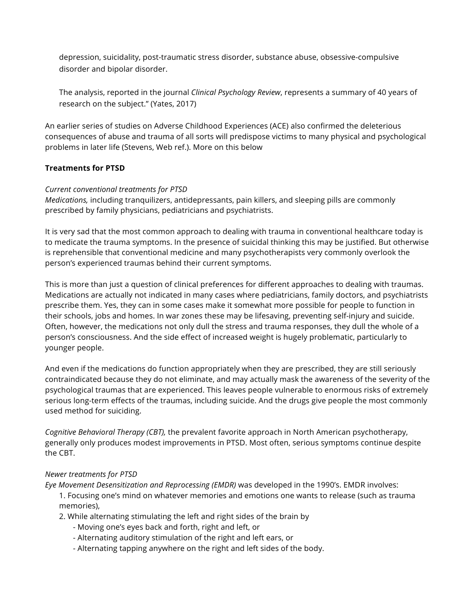depression, suicidality, post-traumatic stress disorder, substance abuse, obsessive-compulsive disorder and bipolar disorder.

The analysis, reported in the journal *Clinical Psychology Review*, represents a summary of 40 years of research on the subject." (Yates, 2017)

An earlier series of studies on Adverse Childhood Experiences (ACE) also confirmed the deleterious consequences of abuse and trauma of all sorts will predispose victims to many physical and psychological problems in later life (Stevens, Web ref.). More on this below

## **Treatments for PTSD**

## *Current conventional treatments for PTSD*

*Medications,* including tranquilizers, antidepressants, pain killers, and sleeping pills are commonly prescribed by family physicians, pediatricians and psychiatrists.

It is very sad that the most common approach to dealing with trauma in conventional healthcare today is to medicate the trauma symptoms. In the presence of suicidal thinking this may be justified. But otherwise is reprehensible that conventional medicine and many psychotherapists very commonly overlook the person's experienced traumas behind their current symptoms.

This is more than just a question of clinical preferences for different approaches to dealing with traumas. Medications are actually not indicated in many cases where pediatricians, family doctors, and psychiatrists prescribe them. Yes, they can in some cases make it somewhat more possible for people to function in their schools, jobs and homes. In war zones these may be lifesaving, preventing self-injury and suicide. Often, however, the medications not only dull the stress and trauma responses, they dull the whole of a person's consciousness. And the side effect of increased weight is hugely problematic, particularly to younger people.

And even if the medications do function appropriately when they are prescribed, they are still seriously contraindicated because they do not eliminate, and may actually mask the awareness of the severity of the psychological traumas that are experienced. This leaves people vulnerable to enormous risks of extremely serious long-term effects of the traumas, including suicide. And the drugs give people the most commonly used method for suiciding.

*Cognitive Behavioral Therapy (CBT),* the prevalent favorite approach in North American psychotherapy, generally only produces modest improvements in PTSD. Most often, serious symptoms continue despite the CBT.

## *Newer treatments for PTSD*

*Eye Movement Desensitization and Reprocessing (EMDR)* was developed in the 1990's. EMDR involves: 1. Focusing one's mind on whatever memories and emotions one wants to release (such as trauma memories),

- 2. While alternating stimulating the left and right sides of the brain by
	- Moving one's eyes back and forth, right and left, or
	- Alternating auditory stimulation of the right and left ears, or
	- Alternating tapping anywhere on the right and left sides of the body.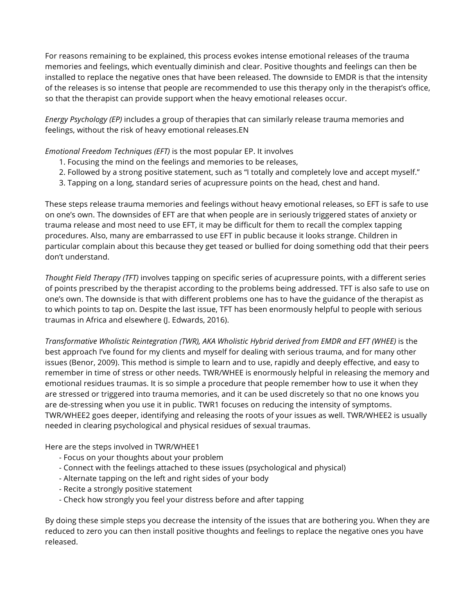For reasons remaining to be explained, this process evokes intense emotional releases of the trauma memories and feelings, which eventually diminish and clear. Positive thoughts and feelings can then be installed to replace the negative ones that have been released. The downside to EMDR is that the intensity of the releases is so intense that people are recommended to use this therapy only in the therapist's office, so that the therapist can provide support when the heavy emotional releases occur.

*Energy Psychology (EP)* includes a group of therapies that can similarly release trauma memories and feelings, without the risk of heavy emotional releases.EN

*Emotional Freedom Techniques (EFT)* is the most popular EP. It involves

- 1. Focusing the mind on the feelings and memories to be releases,
- 2. Followed by a strong positive statement, such as "I totally and completely love and accept myself."
- 3. Tapping on a long, standard series of acupressure points on the head, chest and hand.

These steps release trauma memories and feelings without heavy emotional releases, so EFT is safe to use on one's own. The downsides of EFT are that when people are in seriously triggered states of anxiety or trauma release and most need to use EFT, it may be difficult for them to recall the complex tapping procedures. Also, many are embarrassed to use EFT in public because it looks strange. Children in particular complain about this because they get teased or bullied for doing something odd that their peers don't understand.

*Thought Field Therapy (TFT)* involves tapping on specific series of acupressure points, with a different series of points prescribed by the therapist according to the problems being addressed. TFT is also safe to use on one's own. The downside is that with different problems one has to have the guidance of the therapist as to which points to tap on. Despite the last issue, TFT has been enormously helpful to people with serious traumas in Africa and elsewhere (J. Edwards, 2016).

*Transformative Wholistic Reintegration (TWR), AKA Wholistic Hybrid derived from EMDR and EFT (WHEE)* is the best approach I've found for my clients and myself for dealing with serious trauma, and for many other issues (Benor, 2009). This method is simple to learn and to use, rapidly and deeply effective, and easy to remember in time of stress or other needs. TWR/WHEE is enormously helpful in releasing the memory and emotional residues traumas. It is so simple a procedure that people remember how to use it when they are stressed or triggered into trauma memories, and it can be used discretely so that no one knows you are de-stressing when you use it in public. TWR1 focuses on reducing the intensity of symptoms. TWR/WHEE2 goes deeper, identifying and releasing the roots of your issues as well. TWR/WHEE2 is usually needed in clearing psychological and physical residues of sexual traumas.

Here are the steps involved in TWR/WHEE1

- Focus on your thoughts about your problem
- Connect with the feelings attached to these issues (psychological and physical)
- Alternate tapping on the left and right sides of your body
- Recite a strongly positive statement
- Check how strongly you feel your distress before and after tapping

By doing these simple steps you decrease the intensity of the issues that are bothering you. When they are reduced to zero you can then install positive thoughts and feelings to replace the negative ones you have released.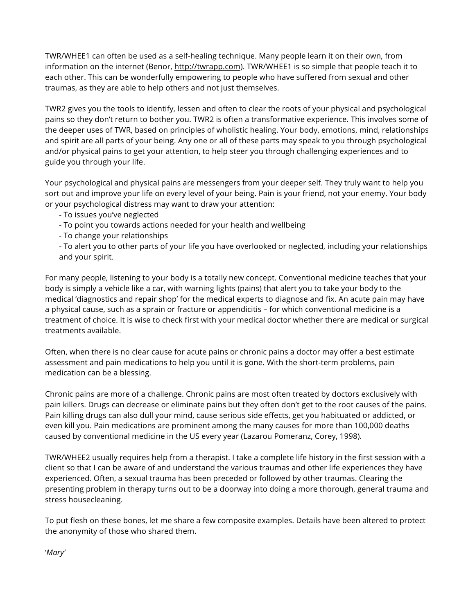TWR/WHEE1 can often be used as a self-healing technique. Many people learn it on their own, from information on the internet (Benor, http://twrapp.com). TWR/WHEE1 is so simple that people teach it to each other. This can be wonderfully empowering to people who have suffered from sexual and other traumas, as they are able to help others and not just themselves.

TWR2 gives you the tools to identify, lessen and often to clear the roots of your physical and psychological pains so they don't return to bother you. TWR2 is often a transformative experience. This involves some of the deeper uses of TWR, based on principles of wholistic healing. Your body, emotions, mind, relationships and spirit are all parts of your being. Any one or all of these parts may speak to you through psychological and/or physical pains to get your attention, to help steer you through challenging experiences and to guide you through your life.

Your psychological and physical pains are messengers from your deeper self. They truly want to help you sort out and improve your life on every level of your being. Pain is your friend, not your enemy. Your body or your psychological distress may want to draw your attention:

- To issues you've neglected
- To point you towards actions needed for your health and wellbeing
- To change your relationships
- To alert you to other parts of your life you have overlooked or neglected, including your relationships and your spirit.

For many people, listening to your body is a totally new concept. Conventional medicine teaches that your body is simply a vehicle like a car, with warning lights (pains) that alert you to take your body to the medical 'diagnostics and repair shop' for the medical experts to diagnose and fix. An acute pain may have a physical cause, such as a sprain or fracture or appendicitis – for which conventional medicine is a treatment of choice. It is wise to check first with your medical doctor whether there are medical or surgical treatments available.

Often, when there is no clear cause for acute pains or chronic pains a doctor may offer a best estimate assessment and pain medications to help you until it is gone. With the short-term problems, pain medication can be a blessing.

Chronic pains are more of a challenge. Chronic pains are most often treated by doctors exclusively with pain killers. Drugs can decrease or eliminate pains but they often don't get to the root causes of the pains. Pain killing drugs can also dull your mind, cause serious side effects, get you habituated or addicted, or even kill you. Pain medications are prominent among the many causes for more than 100,000 deaths caused by conventional medicine in the US every year (Lazarou Pomeranz, Corey, 1998).

TWR/WHEE2 usually requires help from a therapist. I take a complete life history in the first session with a client so that I can be aware of and understand the various traumas and other life experiences they have experienced. Often, a sexual trauma has been preceded or followed by other traumas. Clearing the presenting problem in therapy turns out to be a doorway into doing a more thorough, general trauma and stress housecleaning.

To put flesh on these bones, let me share a few composite examples. Details have been altered to protect the anonymity of those who shared them.

'*Mary'*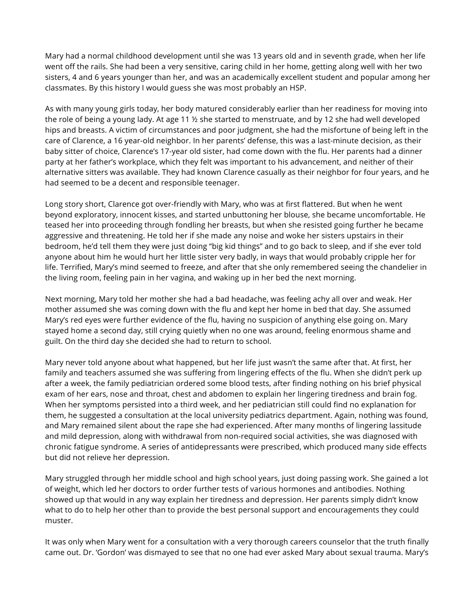Mary had a normal childhood development until she was 13 years old and in seventh grade, when her life went off the rails. She had been a very sensitive, caring child in her home, getting along well with her two sisters, 4 and 6 years younger than her, and was an academically excellent student and popular among her classmates. By this history I would guess she was most probably an HSP.

As with many young girls today, her body matured considerably earlier than her readiness for moving into the role of being a young lady. At age 11 ½ she started to menstruate, and by 12 she had well developed hips and breasts. A victim of circumstances and poor judgment, she had the misfortune of being left in the care of Clarence, a 16 year-old neighbor. In her parents' defense, this was a last-minute decision, as their baby sitter of choice, Clarence's 17-year old sister, had come down with the flu. Her parents had a dinner party at her father's workplace, which they felt was important to his advancement, and neither of their alternative sitters was available. They had known Clarence casually as their neighbor for four years, and he had seemed to be a decent and responsible teenager.

Long story short, Clarence got over-friendly with Mary, who was at first flattered. But when he went beyond exploratory, innocent kisses, and started unbuttoning her blouse, she became uncomfortable. He teased her into proceeding through fondling her breasts, but when she resisted going further he became aggressive and threatening. He told her if she made any noise and woke her sisters upstairs in their bedroom, he'd tell them they were just doing "big kid things" and to go back to sleep, and if she ever told anyone about him he would hurt her little sister very badly, in ways that would probably cripple her for life. Terrified, Mary's mind seemed to freeze, and after that she only remembered seeing the chandelier in the living room, feeling pain in her vagina, and waking up in her bed the next morning.

Next morning, Mary told her mother she had a bad headache, was feeling achy all over and weak. Her mother assumed she was coming down with the flu and kept her home in bed that day. She assumed Mary's red eyes were further evidence of the flu, having no suspicion of anything else going on. Mary stayed home a second day, still crying quietly when no one was around, feeling enormous shame and guilt. On the third day she decided she had to return to school.

Mary never told anyone about what happened, but her life just wasn't the same after that. At first, her family and teachers assumed she was suffering from lingering effects of the flu. When she didn't perk up after a week, the family pediatrician ordered some blood tests, after finding nothing on his brief physical exam of her ears, nose and throat, chest and abdomen to explain her lingering tiredness and brain fog. When her symptoms persisted into a third week, and her pediatrician still could find no explanation for them, he suggested a consultation at the local university pediatrics department. Again, nothing was found, and Mary remained silent about the rape she had experienced. After many months of lingering lassitude and mild depression, along with withdrawal from non-required social activities, she was diagnosed with chronic fatigue syndrome. A series of antidepressants were prescribed, which produced many side effects but did not relieve her depression.

Mary struggled through her middle school and high school years, just doing passing work. She gained a lot of weight, which led her doctors to order further tests of various hormones and antibodies. Nothing showed up that would in any way explain her tiredness and depression. Her parents simply didn't know what to do to help her other than to provide the best personal support and encouragements they could muster.

It was only when Mary went for a consultation with a very thorough careers counselor that the truth finally came out. Dr. 'Gordon' was dismayed to see that no one had ever asked Mary about sexual trauma. Mary's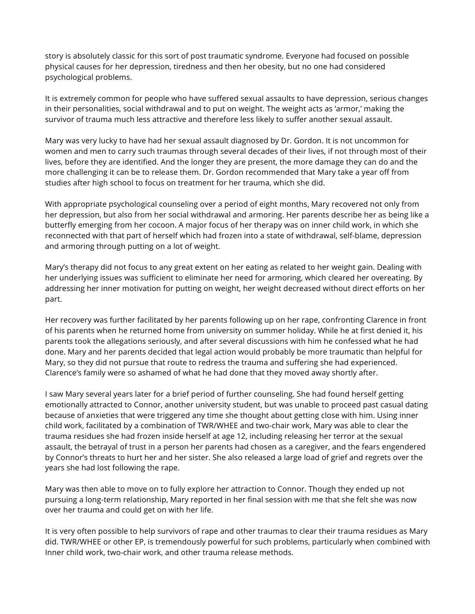story is absolutely classic for this sort of post traumatic syndrome. Everyone had focused on possible physical causes for her depression, tiredness and then her obesity, but no one had considered psychological problems.

It is extremely common for people who have suffered sexual assaults to have depression, serious changes in their personalities, social withdrawal and to put on weight. The weight acts as 'armor,' making the survivor of trauma much less attractive and therefore less likely to suffer another sexual assault.

Mary was very lucky to have had her sexual assault diagnosed by Dr. Gordon. It is not uncommon for women and men to carry such traumas through several decades of their lives, if not through most of their lives, before they are identified. And the longer they are present, the more damage they can do and the more challenging it can be to release them. Dr. Gordon recommended that Mary take a year off from studies after high school to focus on treatment for her trauma, which she did.

With appropriate psychological counseling over a period of eight months, Mary recovered not only from her depression, but also from her social withdrawal and armoring. Her parents describe her as being like a butterfly emerging from her cocoon. A major focus of her therapy was on inner child work, in which she reconnected with that part of herself which had frozen into a state of withdrawal, self-blame, depression and armoring through putting on a lot of weight.

Mary's therapy did not focus to any great extent on her eating as related to her weight gain. Dealing with her underlying issues was sufficient to eliminate her need for armoring, which cleared her overeating. By addressing her inner motivation for putting on weight, her weight decreased without direct efforts on her part.

Her recovery was further facilitated by her parents following up on her rape, confronting Clarence in front of his parents when he returned home from university on summer holiday. While he at first denied it, his parents took the allegations seriously, and after several discussions with him he confessed what he had done. Mary and her parents decided that legal action would probably be more traumatic than helpful for Mary, so they did not pursue that route to redress the trauma and suffering she had experienced. Clarence's family were so ashamed of what he had done that they moved away shortly after.

I saw Mary several years later for a brief period of further counseling. She had found herself getting emotionally attracted to Connor, another university student, but was unable to proceed past casual dating because of anxieties that were triggered any time she thought about getting close with him. Using inner child work, facilitated by a combination of TWR/WHEE and two-chair work, Mary was able to clear the trauma residues she had frozen inside herself at age 12, including releasing her terror at the sexual assault, the betrayal of trust in a person her parents had chosen as a caregiver, and the fears engendered by Connor's threats to hurt her and her sister. She also released a large load of grief and regrets over the years she had lost following the rape.

Mary was then able to move on to fully explore her attraction to Connor. Though they ended up not pursuing a long-term relationship, Mary reported in her final session with me that she felt she was now over her trauma and could get on with her life.

It is very often possible to help survivors of rape and other traumas to clear their trauma residues as Mary did. TWR/WHEE or other EP, is tremendously powerful for such problems, particularly when combined with Inner child work, two-chair work, and other trauma release methods.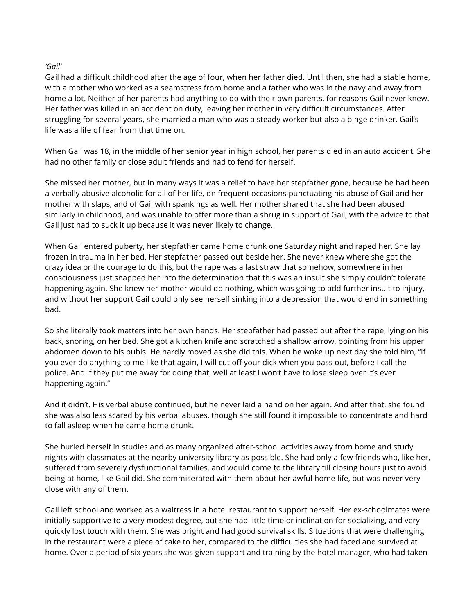## *'Gail'*

Gail had a difficult childhood after the age of four, when her father died. Until then, she had a stable home, with a mother who worked as a seamstress from home and a father who was in the navy and away from home a lot. Neither of her parents had anything to do with their own parents, for reasons Gail never knew. Her father was killed in an accident on duty, leaving her mother in very difficult circumstances. After struggling for several years, she married a man who was a steady worker but also a binge drinker. Gail's life was a life of fear from that time on.

When Gail was 18, in the middle of her senior year in high school, her parents died in an auto accident. She had no other family or close adult friends and had to fend for herself.

She missed her mother, but in many ways it was a relief to have her stepfather gone, because he had been a verbally abusive alcoholic for all of her life, on frequent occasions punctuating his abuse of Gail and her mother with slaps, and of Gail with spankings as well. Her mother shared that she had been abused similarly in childhood, and was unable to offer more than a shrug in support of Gail, with the advice to that Gail just had to suck it up because it was never likely to change.

When Gail entered puberty, her stepfather came home drunk one Saturday night and raped her. She lay frozen in trauma in her bed. Her stepfather passed out beside her. She never knew where she got the crazy idea or the courage to do this, but the rape was a last straw that somehow, somewhere in her consciousness just snapped her into the determination that this was an insult she simply couldn't tolerate happening again. She knew her mother would do nothing, which was going to add further insult to injury, and without her support Gail could only see herself sinking into a depression that would end in something bad.

So she literally took matters into her own hands. Her stepfather had passed out after the rape, lying on his back, snoring, on her bed. She got a kitchen knife and scratched a shallow arrow, pointing from his upper abdomen down to his pubis. He hardly moved as she did this. When he woke up next day she told him, "If you ever do anything to me like that again, I will cut off your dick when you pass out, before I call the police. And if they put me away for doing that, well at least I won't have to lose sleep over it's ever happening again."

And it didn't. His verbal abuse continued, but he never laid a hand on her again. And after that, she found she was also less scared by his verbal abuses, though she still found it impossible to concentrate and hard to fall asleep when he came home drunk.

She buried herself in studies and as many organized after-school activities away from home and study nights with classmates at the nearby university library as possible. She had only a few friends who, like her, suffered from severely dysfunctional families, and would come to the library till closing hours just to avoid being at home, like Gail did. She commiserated with them about her awful home life, but was never very close with any of them.

Gail left school and worked as a waitress in a hotel restaurant to support herself. Her ex-schoolmates were initially supportive to a very modest degree, but she had little time or inclination for socializing, and very quickly lost touch with them. She was bright and had good survival skills. Situations that were challenging in the restaurant were a piece of cake to her, compared to the difficulties she had faced and survived at home. Over a period of six years she was given support and training by the hotel manager, who had taken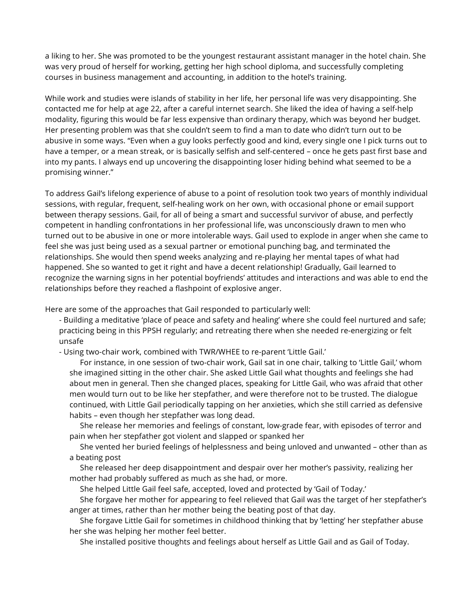a liking to her. She was promoted to be the youngest restaurant assistant manager in the hotel chain. She was very proud of herself for working, getting her high school diploma, and successfully completing courses in business management and accounting, in addition to the hotel's training.

While work and studies were islands of stability in her life, her personal life was very disappointing. She contacted me for help at age 22, after a careful internet search. She liked the idea of having a self-help modality, figuring this would be far less expensive than ordinary therapy, which was beyond her budget. Her presenting problem was that she couldn't seem to find a man to date who didn't turn out to be abusive in some ways. "Even when a guy looks perfectly good and kind, every single one I pick turns out to have a temper, or a mean streak, or is basically selfish and self-centered – once he gets past first base and into my pants. I always end up uncovering the disappointing loser hiding behind what seemed to be a promising winner."

To address Gail's lifelong experience of abuse to a point of resolution took two years of monthly individual sessions, with regular, frequent, self-healing work on her own, with occasional phone or email support between therapy sessions. Gail, for all of being a smart and successful survivor of abuse, and perfectly competent in handling confrontations in her professional life, was unconsciously drawn to men who turned out to be abusive in one or more intolerable ways. Gail used to explode in anger when she came to feel she was just being used as a sexual partner or emotional punching bag, and terminated the relationships. She would then spend weeks analyzing and re-playing her mental tapes of what had happened. She so wanted to get it right and have a decent relationship! Gradually, Gail learned to recognize the warning signs in her potential boyfriends' attitudes and interactions and was able to end the relationships before they reached a flashpoint of explosive anger.

Here are some of the approaches that Gail responded to particularly well:

- Building a meditative 'place of peace and safety and healing' where she could feel nurtured and safe; practicing being in this PPSH regularly; and retreating there when she needed re-energizing or felt unsafe

- Using two-chair work, combined with TWR/WHEE to re-parent 'Little Gail.'

For instance, in one session of two-chair work, Gail sat in one chair, talking to 'Little Gail,' whom she imagined sitting in the other chair. She asked Little Gail what thoughts and feelings she had about men in general. Then she changed places, speaking for Little Gail, who was afraid that other men would turn out to be like her stepfather, and were therefore not to be trusted. The dialogue continued, with Little Gail periodically tapping on her anxieties, which she still carried as defensive habits – even though her stepfather was long dead.

She release her memories and feelings of constant, low-grade fear, with episodes of terror and pain when her stepfather got violent and slapped or spanked her

She vented her buried feelings of helplessness and being unloved and unwanted – other than as a beating post

She released her deep disappointment and despair over her mother's passivity, realizing her mother had probably suffered as much as she had, or more.

She helped Little Gail feel safe, accepted, loved and protected by 'Gail of Today.'

She forgave her mother for appearing to feel relieved that Gail was the target of her stepfather's anger at times, rather than her mother being the beating post of that day.

She forgave Little Gail for sometimes in childhood thinking that by 'letting' her stepfather abuse her she was helping her mother feel better.

She installed positive thoughts and feelings about herself as Little Gail and as Gail of Today.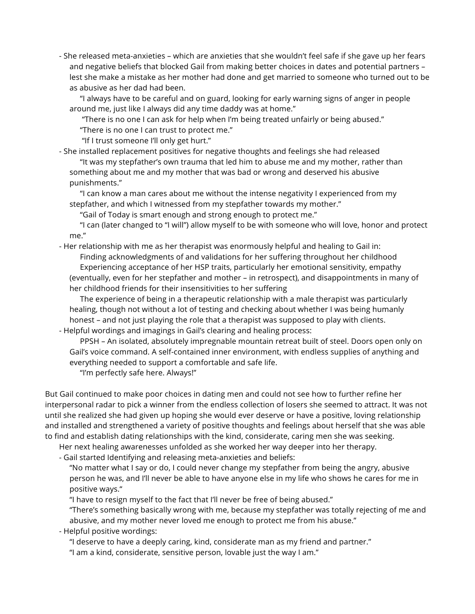- She released meta-anxieties – which are anxieties that she wouldn't feel safe if she gave up her fears and negative beliefs that blocked Gail from making better choices in dates and potential partners – lest she make a mistake as her mother had done and get married to someone who turned out to be as abusive as her dad had been.

"I always have to be careful and on guard, looking for early warning signs of anger in people around me, just like I always did any time daddy was at home."

"There is no one I can ask for help when I'm being treated unfairly or being abused."

"There is no one I can trust to protect me."

"If I trust someone I'll only get hurt."

- She installed replacement positives for negative thoughts and feelings she had released "It was my stepfather's own trauma that led him to abuse me and my mother, rather than something about me and my mother that was bad or wrong and deserved his abusive punishments."

"I can know a man cares about me without the intense negativity I experienced from my stepfather, and which I witnessed from my stepfather towards my mother."

"Gail of Today is smart enough and strong enough to protect me."

"I can (later changed to "I will") allow myself to be with someone who will love, honor and protect me."

- Her relationship with me as her therapist was enormously helpful and healing to Gail in:

Finding acknowledgments of and validations for her suffering throughout her childhood Experiencing acceptance of her HSP traits, particularly her emotional sensitivity, empathy (eventually, even for her stepfather and mother – in retrospect), and disappointments in many of her childhood friends for their insensitivities to her suffering

The experience of being in a therapeutic relationship with a male therapist was particularly healing, though not without a lot of testing and checking about whether I was being humanly honest – and not just playing the role that a therapist was supposed to play with clients.

- Helpful wordings and imagings in Gail's clearing and healing process:

PPSH – An isolated, absolutely impregnable mountain retreat built of steel. Doors open only on Gail's voice command. A self-contained inner environment, with endless supplies of anything and everything needed to support a comfortable and safe life.

"I'm perfectly safe here. Always!"

But Gail continued to make poor choices in dating men and could not see how to further refine her interpersonal radar to pick a winner from the endless collection of losers she seemed to attract. It was not until she realized she had given up hoping she would ever deserve or have a positive, loving relationship and installed and strengthened a variety of positive thoughts and feelings about herself that she was able to find and establish dating relationships with the kind, considerate, caring men she was seeking.

Her next healing awarenesses unfolded as she worked her way deeper into her therapy.

- Gail started Identifying and releasing meta-anxieties and beliefs:

"No matter what I say or do, I could never change my stepfather from being the angry, abusive person he was, and I'll never be able to have anyone else in my life who shows he cares for me in positive ways."

"I have to resign myself to the fact that I'll never be free of being abused."

"There's something basically wrong with me, because my stepfather was totally rejecting of me and abusive, and my mother never loved me enough to protect me from his abuse."

- Helpful positive wordings:

"I deserve to have a deeply caring, kind, considerate man as my friend and partner."

"I am a kind, considerate, sensitive person, lovable just the way I am."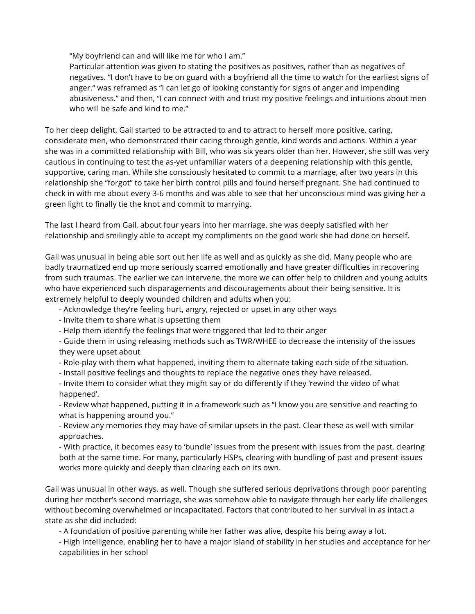"My boyfriend can and will like me for who I am."

Particular attention was given to stating the positives as positives, rather than as negatives of negatives. "I don't have to be on guard with a boyfriend all the time to watch for the earliest signs of anger." was reframed as "I can let go of looking constantly for signs of anger and impending abusiveness." and then, "I can connect with and trust my positive feelings and intuitions about men who will be safe and kind to me."

To her deep delight, Gail started to be attracted to and to attract to herself more positive, caring, considerate men, who demonstrated their caring through gentle, kind words and actions. Within a year she was in a committed relationship with Bill, who was six years older than her. However, she still was very cautious in continuing to test the as-yet unfamiliar waters of a deepening relationship with this gentle, supportive, caring man. While she consciously hesitated to commit to a marriage, after two years in this relationship she "forgot" to take her birth control pills and found herself pregnant. She had continued to check in with me about every 3-6 months and was able to see that her unconscious mind was giving her a green light to finally tie the knot and commit to marrying.

The last I heard from Gail, about four years into her marriage, she was deeply satisfied with her relationship and smilingly able to accept my compliments on the good work she had done on herself.

Gail was unusual in being able sort out her life as well and as quickly as she did. Many people who are badly traumatized end up more seriously scarred emotionally and have greater difficulties in recovering from such traumas. The earlier we can intervene, the more we can offer help to children and young adults who have experienced such disparagements and discouragements about their being sensitive. It is extremely helpful to deeply wounded children and adults when you:

- Acknowledge they're feeling hurt, angry, rejected or upset in any other ways
- Invite them to share what is upsetting them
- Help them identify the feelings that were triggered that led to their anger

- Guide them in using releasing methods such as TWR/WHEE to decrease the intensity of the issues they were upset about

- Role-play with them what happened, inviting them to alternate taking each side of the situation.
- Install positive feelings and thoughts to replace the negative ones they have released.
- Invite them to consider what they might say or do differently if they 'rewind the video of what happened'.

- Review what happened, putting it in a framework such as "I know you are sensitive and reacting to what is happening around you."

- Review any memories they may have of similar upsets in the past. Clear these as well with similar approaches.

- With practice, it becomes easy to 'bundle' issues from the present with issues from the past, clearing both at the same time. For many, particularly HSPs, clearing with bundling of past and present issues works more quickly and deeply than clearing each on its own.

Gail was unusual in other ways, as well. Though she suffered serious deprivations through poor parenting during her mother's second marriage, she was somehow able to navigate through her early life challenges without becoming overwhelmed or incapacitated. Factors that contributed to her survival in as intact a state as she did included:

- A foundation of positive parenting while her father was alive, despite his being away a lot.

- High intelligence, enabling her to have a major island of stability in her studies and acceptance for her capabilities in her school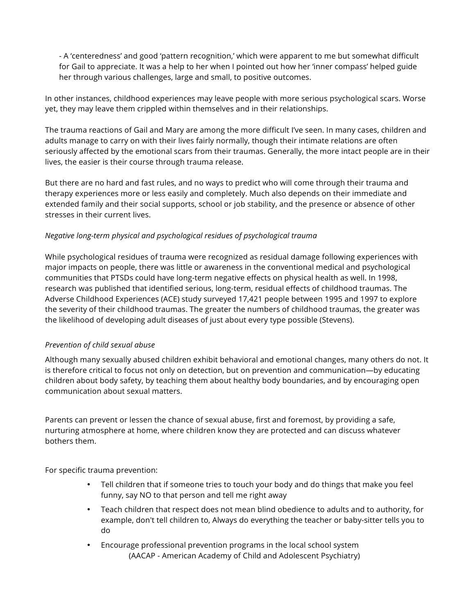- A 'centeredness' and good 'pattern recognition,' which were apparent to me but somewhat difficult for Gail to appreciate. It was a help to her when I pointed out how her 'inner compass' helped guide her through various challenges, large and small, to positive outcomes.

In other instances, childhood experiences may leave people with more serious psychological scars. Worse yet, they may leave them crippled within themselves and in their relationships.

The trauma reactions of Gail and Mary are among the more difficult I've seen. In many cases, children and adults manage to carry on with their lives fairly normally, though their intimate relations are often seriously affected by the emotional scars from their traumas. Generally, the more intact people are in their lives, the easier is their course through trauma release.

But there are no hard and fast rules, and no ways to predict who will come through their trauma and therapy experiences more or less easily and completely. Much also depends on their immediate and extended family and their social supports, school or job stability, and the presence or absence of other stresses in their current lives.

## *Negative long-term physical and psychological residues of psychological trauma*

While psychological residues of trauma were recognized as residual damage following experiences with major impacts on people, there was little or awareness in the conventional medical and psychological communities that PTSDs could have long-term negative effects on physical health as well. In 1998, research was published that identified serious, long-term, residual effects of childhood traumas. The Adverse Childhood Experiences (ACE) study surveyed 17,421 people between 1995 and 1997 to explore the severity of their childhood traumas. The greater the numbers of childhood traumas, the greater was the likelihood of developing adult diseases of just about every type possible (Stevens).

### *Prevention of child sexual abuse*

Although many sexually abused children exhibit behavioral and emotional changes, many others do not. It is therefore critical to focus not only on detection, but on prevention and communication—by educating children about body safety, by teaching them about healthy body boundaries, and by encouraging open communication about sexual matters.

Parents can prevent or lessen the chance of sexual abuse, first and foremost, by providing a safe, nurturing atmosphere at home, where children know they are protected and can discuss whatever bothers them.

For specific trauma prevention:

- Tell children that if someone tries to touch your body and do things that make you feel funny, say NO to that person and tell me right away
- Teach children that respect does not mean blind obedience to adults and to authority, for example, don't tell children to, Always do everything the teacher or baby-sitter tells you to do
- Encourage professional prevention programs in the local school system (AACAP - American Academy of Child and Adolescent Psychiatry)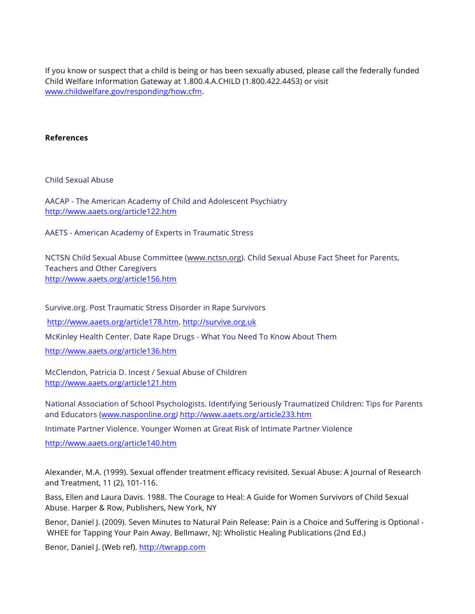If you know or suspect that a child is being or has been sexually abused, please call the federally funded Child Welfare Information Gateway at 1.800.4.A.CHILD (1.800.422.4453) or visit www.childwelfare.gov/responding/how.cfm.

#### **References**

Child Sexual Abuse

AACAP - The American Academy of Child and Adolescent Psychiatry http://www.aaets.org/article122.htm

AAETS - American Academy of Experts in Traumatic Stress

NCTSN Child Sexual Abuse Committee (www.nctsn.org). Child Sexual Abuse Fact Sheet for Parents, Teachers and Other Caregivers http://www.aaets.org/article156.htm

Survive.org. Post Traumatic Stress Disorder in Rape Survivors http://www.aaets.org/article178.htm. http://survive.org.uk McKinley Health Center. Date Rape Drugs - What You Need To Know About Them http://www.aaets.org/article136.htm

McClendon, Patricia D. Incest / Sexual Abuse of Children http://www.aaets.org/article121.htm

National Association of School Psychologists. Identifying Seriously Traumatized Children: Tips for Parents and Educators (www.nasponline.org*)* http://www.aaets.org/article233.htm

Intimate Partner Violence. Younger Women at Great Risk of Intimate Partner Violence

http://www.aaets.org/article140.htm

Alexander, M.A. (1999). Sexual offender treatment efficacy revisited. Sexual Abuse: A Journal of Research and Treatment, 11 (2), 101-116.

Bass, Ellen and Laura Davis. 1988. The Courage to Heal: A Guide for Women Survivors of Child Sexual Abuse. Harper & Row, Publishers, New York, NY

Benor, Daniel J. (2009). Seven Minutes to Natural Pain Release: Pain is a Choice and Suffering is Optional - WHEE for Tapping Your Pain Away. Bellmawr, NJ: Wholistic Healing Publications (2nd Ed.)

Benor, Daniel J. (Web ref). http://twrapp.com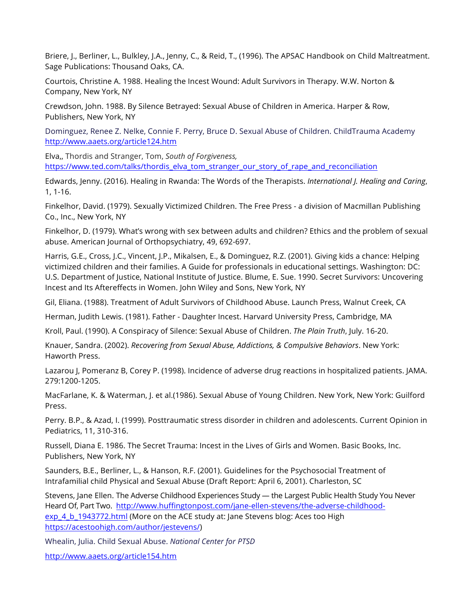Briere, J., Berliner, L., Bulkley, J.A., Jenny, C., & Reid, T., (1996). The APSAC Handbook on Child Maltreatment. Sage Publications: Thousand Oaks, CA.

Courtois, Christine A. 1988. Healing the Incest Wound: Adult Survivors in Therapy. W.W. Norton & Company, New York, NY

Crewdson, John. 1988. By Silence Betrayed: Sexual Abuse of Children in America. Harper & Row, Publishers, New York, NY

Dominguez, Renee Z. Nelke, Connie F. Perry, Bruce D. Sexual Abuse of Children. ChildTrauma Academy http://www.aaets.org/article124.htm

Elva,, Thordis and Stranger, Tom, *South of Forgiveness,* https://www.ted.com/talks/thordis\_elva\_tom\_stranger\_our\_story\_of\_rape\_and\_reconciliation

Edwards, Jenny. (2016). Healing in Rwanda: The Words of the Therapists. *International J. Healing and Caring*, 1, 1-16.

Finkelhor, David. (1979). Sexually Victimized Children. The Free Press - a division of Macmillan Publishing Co., Inc., New York, NY

Finkelhor, D. (1979). What's wrong with sex between adults and children? Ethics and the problem of sexual abuse. American Journal of Orthopsychiatry, 49, 692-697.

Harris, G.E., Cross, J.C., Vincent, J.P., Mikalsen, E., & Dominguez, R.Z. (2001). Giving kids a chance: Helping victimized children and their families. A Guide for professionals in educational settings. Washington: DC: U.S. Department of Justice, National Institute of Justice. Blume, E. Sue. 1990. Secret Survivors: Uncovering Incest and Its Aftereffects in Women. John Wiley and Sons, New York, NY

Gil, Eliana. (1988). Treatment of Adult Survivors of Childhood Abuse. Launch Press, Walnut Creek, CA

Herman, Judith Lewis. (1981). Father - Daughter Incest. Harvard University Press, Cambridge, MA

Kroll, Paul. (1990). A Conspiracy of Silence: Sexual Abuse of Children. *The Plain Truth*, July. 16-20.

Knauer, Sandra. (2002). *Recovering from Sexual Abuse, Addictions, & Compulsive Behaviors*. New York: Haworth Press.

Lazarou J, Pomeranz B, Corey P. (1998). Incidence of adverse drug reactions in hospitalized patients. JAMA. 279:1200-1205.

MacFarlane, K. & Waterman, J. et al.(1986). Sexual Abuse of Young Children. New York, New York: Guilford Press.

Perry. B.P., & Azad, I. (1999). Posttraumatic stress disorder in children and adolescents. Current Opinion in Pediatrics, 11, 310-316.

Russell, Diana E. 1986. The Secret Trauma: Incest in the Lives of Girls and Women. Basic Books, Inc. Publishers, New York, NY

Saunders, B.E., Berliner, L., & Hanson, R.F. (2001). Guidelines for the Psychosocial Treatment of Intrafamilial child Physical and Sexual Abuse (Draft Report: April 6, 2001). Charleston, SC

Stevens, Jane Ellen. The Adverse Childhood Experiences Study — the Largest Public Health Study You Never Heard Of, Part Two. http://www.huffingtonpost.com/jane-ellen-stevens/the-adverse-childhoodexp\_4\_b\_1943772.html (More on the ACE study at: Jane Stevens blog: Aces too High https://acestoohigh.com/author/jestevens/)

Whealin, Julia. Child Sexual Abuse. *National Center for PTSD*

http://www.aaets.org/article154.htm